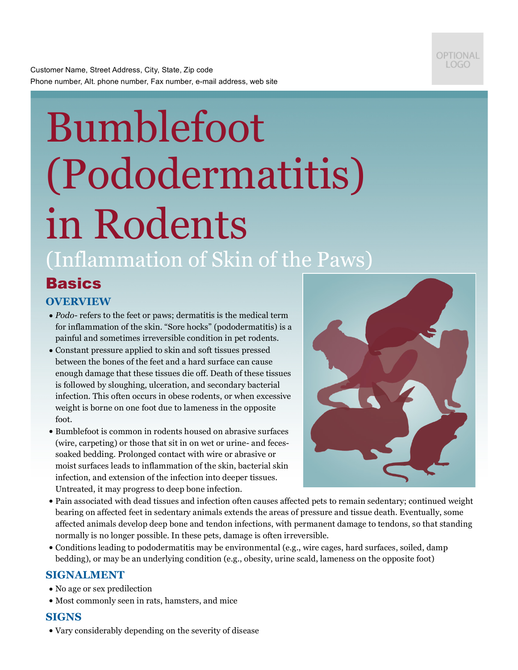

Customer Name, Street Address, City, State, Zip code Phone number, Alt. phone number, Fax number, e-mail address, web site

# Bumblefoot (Pododermatitis) in Rodents (Inflammation of Skin of the Paws)

# **Basics**

# **OVERVIEW**

- *Podo* refers to the feet or paws; dermatitis is the medical term for inflammation of the skin. "Sore hocks" (pododermatitis) is a painful and sometimes irreversible condition in pet rodents.
- Constant pressure applied to skin and soft tissues pressed between the bones of the feet and a hard surface can cause enough damage that these tissues die off. Death of these tissues is followed by sloughing, ulceration, and secondary bacterial infection. This often occurs in obese rodents, or when excessive weight is borne on one foot due to lameness in the opposite foot.
- Bumblefoot is common in rodents housed on abrasive surfaces (wire, carpeting) or those that sit in on wet or urine- and fecessoaked bedding. Prolonged contact with wire or abrasive or moist surfaces leads to inflammation of the skin, bacterial skin infection, and extension of the infection into deeper tissues. Untreated, it may progress to deep bone infection.



- Pain associated with dead tissues and infection often causes affected pets to remain sedentary; continued weight bearing on affected feet in sedentary animals extends the areas of pressure and tissue death. Eventually, some affected animals develop deep bone and tendon infections, with permanent damage to tendons, so that standing normally is no longer possible. In these pets, damage is often irreversible.
- Conditions leading to pododermatitis may be environmental (e.g., wire cages, hard surfaces, soiled, damp bedding), or may be an underlying condition (e.g., obesity, urine scald, lameness on the opposite foot)

# **SIGNALMENT**

- No age or sex predilection
- Most commonly seen in rats, hamsters, and mice

# **SIGNS**

• Vary considerably depending on the severity of disease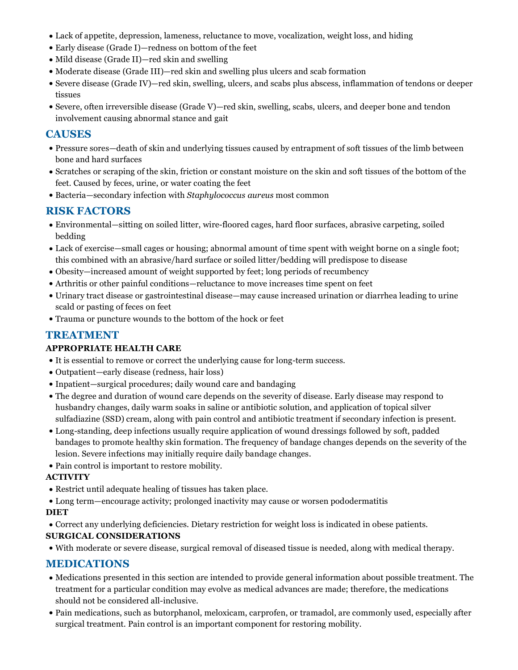- Lack of appetite, depression, lameness, reluctance to move, vocalization, weight loss, and hiding
- Early disease (Grade I)—redness on bottom of the feet
- Mild disease (Grade II)—red skin and swelling
- Moderate disease (Grade III)—red skin and swelling plus ulcers and scab formation
- Severe disease (Grade IV)—red skin, swelling, ulcers, and scabs plus abscess, inflammation of tendons or deeper tissues
- Severe, often irreversible disease (Grade V)—red skin, swelling, scabs, ulcers, and deeper bone and tendon involvement causing abnormal stance and gait

### **CAUSES**

- Pressure sores—death of skin and underlying tissues caused by entrapment of soft tissues of the limb between bone and hard surfaces
- Scratches or scraping of the skin, friction or constant moisture on the skin and soft tissues of the bottom of the feet. Caused by feces, urine, or water coating the feet
- Bacteria—secondary infection with *Staphylococcus aureus* most common

# **RISK FACTORS**

- Environmental—sitting on soiled litter, wire-floored cages, hard floor surfaces, abrasive carpeting, soiled bedding
- Lack of exercise—small cages or housing; abnormal amount of time spent with weight borne on a single foot; this combined with an abrasive/hard surface or soiled litter/bedding will predispose to disease
- Obesity—increased amount of weight supported by feet; long periods of recumbency
- Arthritis or other painful conditions—reluctance to move increases time spent on feet
- Urinary tract disease or gastrointestinal disease—may cause increased urination or diarrhea leading to urine scald or pasting of feces on feet
- Trauma or puncture wounds to the bottom of the hock or feet

# **TREATMENT**

#### **APPROPRIATE HEALTH CARE**

- It is essential to remove or correct the underlying cause for long-term success.
- Outpatient—early disease (redness, hair loss)
- Inpatient—surgical procedures; daily wound care and bandaging
- The degree and duration of wound care depends on the severity of disease. Early disease may respond to husbandry changes, daily warm soaks in saline or antibiotic solution, and application of topical silver sulfadiazine (SSD) cream, along with pain control and antibiotic treatment if secondary infection is present.
- Long-standing, deep infections usually require application of wound dressings followed by soft, padded bandages to promote healthy skin formation. The frequency of bandage changes depends on the severity of the lesion. Severe infections may initially require daily bandage changes.
- Pain control is important to restore mobility.

#### **ACTIVITY**

- Restrict until adequate healing of tissues has taken place.
- Long term—encourage activity; prolonged inactivity may cause or worsen pododermatitis

#### **DIET**

• Correct any underlying deficiencies. Dietary restriction for weight loss is indicated in obese patients.

#### **SURGICAL CONSIDERATIONS**

• With moderate or severe disease, surgical removal of diseased tissue is needed, along with medical therapy.

# **MEDICATIONS**

- Medications presented in this section are intended to provide general information about possible treatment. The treatment for a particular condition may evolve as medical advances are made; therefore, the medications should not be considered all-inclusive.
- Pain medications, such as butorphanol, meloxicam, carprofen, or tramadol, are commonly used, especially after surgical treatment. Pain control is an important component for restoring mobility.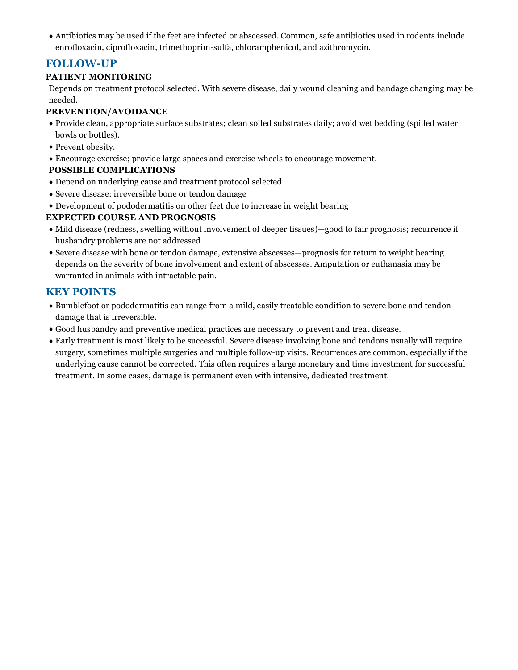• Antibiotics may be used if the feet are infected or abscessed. Common, safe antibiotics used in rodents include enrofloxacin, ciprofloxacin, trimethoprim-sulfa, chloramphenicol, and azithromycin.

# **FOLLOW-UP**

#### **PATIENT MONITORING**

Depends on treatment protocol selected. With severe disease, daily wound cleaning and bandage changing may be needed.

#### **PREVENTION/AVOIDANCE**

- Provide clean, appropriate surface substrates; clean soiled substrates daily; avoid wet bedding (spilled water bowls or bottles).
- Prevent obesity.
- Encourage exercise; provide large spaces and exercise wheels to encourage movement.

#### **POSSIBLE COMPLICATIONS**

- Depend on underlying cause and treatment protocol selected
- Severe disease: irreversible bone or tendon damage
- Development of pododermatitis on other feet due to increase in weight bearing

#### **EXPECTED COURSE AND PROGNOSIS**

- Mild disease (redness, swelling without involvement of deeper tissues)—good to fair prognosis; recurrence if husbandry problems are not addressed
- Severe disease with bone or tendon damage, extensive abscesses—prognosis for return to weight bearing depends on the severity of bone involvement and extent of abscesses. Amputation or euthanasia may be warranted in animals with intractable pain.

# **KEY POINTS**

- Bumblefoot or pododermatitis can range from a mild, easily treatable condition to severe bone and tendon damage that is irreversible.
- Good husbandry and preventive medical practices are necessary to prevent and treat disease.
- Early treatment is most likely to be successful. Severe disease involving bone and tendons usually will require surgery, sometimes multiple surgeries and multiple follow-up visits. Recurrences are common, especially if the underlying cause cannot be corrected. This often requires a large monetary and time investment for successful treatment. In some cases, damage is permanent even with intensive, dedicated treatment.